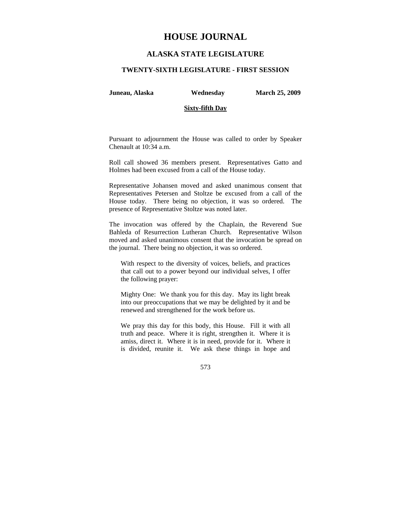# **HOUSE JOURNAL**

# **ALASKA STATE LEGISLATURE**

### **TWENTY-SIXTH LEGISLATURE - FIRST SESSION**

**Juneau, Alaska Wednesday March 25, 2009** 

### **Sixty-fifth Day**

Pursuant to adjournment the House was called to order by Speaker Chenault at 10:34 a.m.

Roll call showed 36 members present. Representatives Gatto and Holmes had been excused from a call of the House today.

Representative Johansen moved and asked unanimous consent that Representatives Petersen and Stoltze be excused from a call of the House today. There being no objection, it was so ordered. The presence of Representative Stoltze was noted later.

The invocation was offered by the Chaplain, the Reverend Sue Bahleda of Resurrection Lutheran Church. Representative Wilson moved and asked unanimous consent that the invocation be spread on the journal. There being no objection, it was so ordered.

With respect to the diversity of voices, beliefs, and practices that call out to a power beyond our individual selves, I offer the following prayer:

Mighty One: We thank you for this day. May its light break into our preoccupations that we may be delighted by it and be renewed and strengthened for the work before us.

We pray this day for this body, this House. Fill it with all truth and peace. Where it is right, strengthen it. Where it is amiss, direct it. Where it is in need, provide for it. Where it is divided, reunite it. We ask these things in hope and

573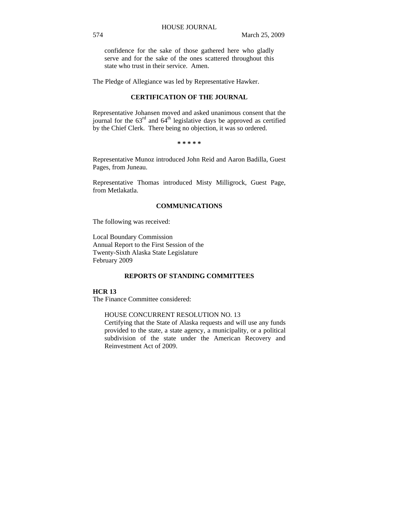confidence for the sake of those gathered here who gladly serve and for the sake of the ones scattered throughout this state who trust in their service. Amen.

The Pledge of Allegiance was led by Representative Hawker.

### **CERTIFICATION OF THE JOURNAL**

Representative Johansen moved and asked unanimous consent that the journal for the  $63<sup>rd</sup>$  and  $64<sup>th</sup>$  legislative days be approved as certified by the Chief Clerk. There being no objection, it was so ordered.

#### **\* \* \* \* \***

Representative Munoz introduced John Reid and Aaron Badilla, Guest Pages, from Juneau.

Representative Thomas introduced Misty Milligrock, Guest Page, from Metlakatla.

# **COMMUNICATIONS**

The following was received:

Local Boundary Commission Annual Report to the First Session of the Twenty-Sixth Alaska State Legislature February 2009

# **REPORTS OF STANDING COMMITTEES**

# **HCR 13**

The Finance Committee considered:

# HOUSE CONCURRENT RESOLUTION NO. 13

Certifying that the State of Alaska requests and will use any funds provided to the state, a state agency, a municipality, or a political subdivision of the state under the American Recovery and Reinvestment Act of 2009.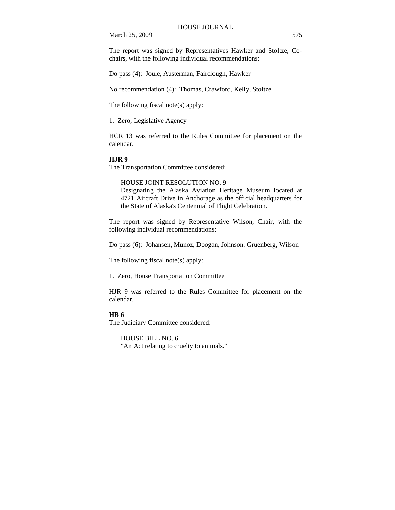The report was signed by Representatives Hawker and Stoltze, Cochairs, with the following individual recommendations:

Do pass (4): Joule, Austerman, Fairclough, Hawker

No recommendation (4): Thomas, Crawford, Kelly, Stoltze

The following fiscal note(s) apply:

1. Zero, Legislative Agency

HCR 13 was referred to the Rules Committee for placement on the calendar.

### **HJR 9**

The Transportation Committee considered:

HOUSE JOINT RESOLUTION NO. 9 Designating the Alaska Aviation Heritage Museum located at 4721 Aircraft Drive in Anchorage as the official headquarters for the State of Alaska's Centennial of Flight Celebration.

The report was signed by Representative Wilson, Chair, with the following individual recommendations:

Do pass (6): Johansen, Munoz, Doogan, Johnson, Gruenberg, Wilson

The following fiscal note(s) apply:

1. Zero, House Transportation Committee

HJR 9 was referred to the Rules Committee for placement on the calendar.

### **HB 6**

The Judiciary Committee considered:

HOUSE BILL NO. 6 "An Act relating to cruelty to animals."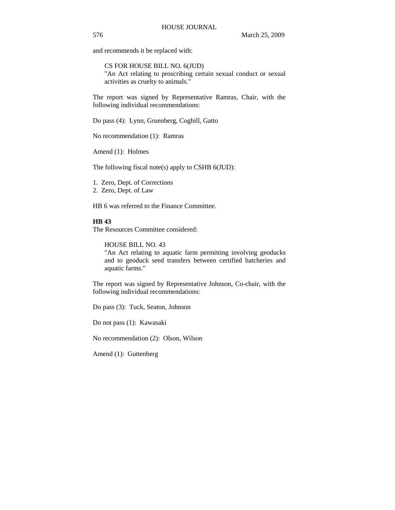and recommends it be replaced with:

CS FOR HOUSE BILL NO. 6(JUD) "An Act relating to proscribing certain sexual conduct or sexual activities as cruelty to animals."

The report was signed by Representative Ramras, Chair, with the following individual recommendations:

Do pass (4): Lynn, Gruenberg, Coghill, Gatto

No recommendation (1): Ramras

Amend (1): Holmes

The following fiscal note(s) apply to CSHB 6(JUD):

1. Zero, Dept. of Corrections

2. Zero, Dept. of Law

HB 6 was referred to the Finance Committee.

#### **HB 43**

The Resources Committee considered:

HOUSE BILL NO. 43

"An Act relating to aquatic farm permitting involving geoducks and to geoduck seed transfers between certified hatcheries and aquatic farms."

The report was signed by Representative Johnson, Co-chair, with the following individual recommendations:

Do pass (3): Tuck, Seaton, Johnson

Do not pass (1): Kawasaki

No recommendation (2): Olson, Wilson

Amend (1): Guttenberg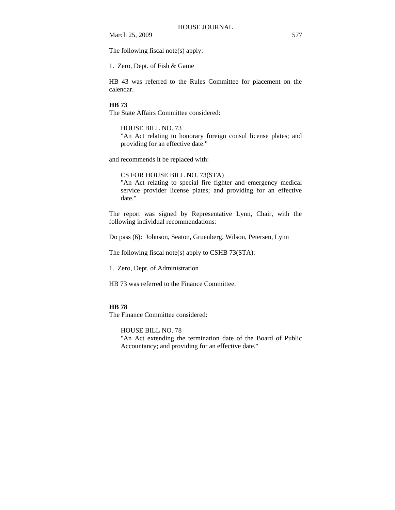The following fiscal note(s) apply:

1. Zero, Dept. of Fish & Game

HB 43 was referred to the Rules Committee for placement on the calendar.

### **HB 73**

The State Affairs Committee considered:

# HOUSE BILL NO. 73

"An Act relating to honorary foreign consul license plates; and providing for an effective date."

and recommends it be replaced with:

#### CS FOR HOUSE BILL NO. 73(STA)

"An Act relating to special fire fighter and emergency medical service provider license plates; and providing for an effective date."

The report was signed by Representative Lynn, Chair, with the following individual recommendations:

Do pass (6): Johnson, Seaton, Gruenberg, Wilson, Petersen, Lynn

The following fiscal note(s) apply to CSHB 73(STA):

1. Zero, Dept. of Administration

HB 73 was referred to the Finance Committee.

#### **HB 78**

The Finance Committee considered:

HOUSE BILL NO. 78

"An Act extending the termination date of the Board of Public Accountancy; and providing for an effective date."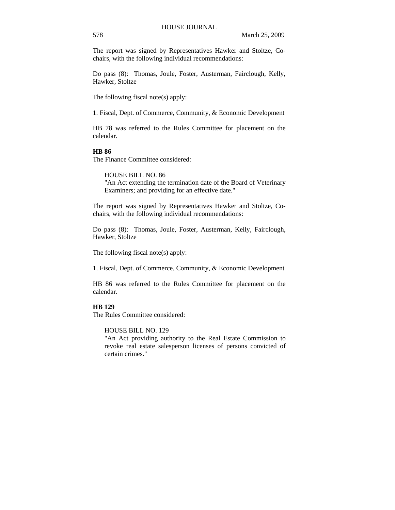The report was signed by Representatives Hawker and Stoltze, Cochairs, with the following individual recommendations:

Do pass (8): Thomas, Joule, Foster, Austerman, Fairclough, Kelly, Hawker, Stoltze

The following fiscal note(s) apply:

1. Fiscal, Dept. of Commerce, Community, & Economic Development

HB 78 was referred to the Rules Committee for placement on the calendar.

### **HB 86**

The Finance Committee considered:

HOUSE BILL NO. 86 "An Act extending the termination date of the Board of Veterinary Examiners; and providing for an effective date."

The report was signed by Representatives Hawker and Stoltze, Cochairs, with the following individual recommendations:

Do pass (8): Thomas, Joule, Foster, Austerman, Kelly, Fairclough, Hawker, Stoltze

The following fiscal note(s) apply:

1. Fiscal, Dept. of Commerce, Community, & Economic Development

HB 86 was referred to the Rules Committee for placement on the calendar.

### **HB 129**

The Rules Committee considered:

HOUSE BILL NO. 129

"An Act providing authority to the Real Estate Commission to revoke real estate salesperson licenses of persons convicted of certain crimes."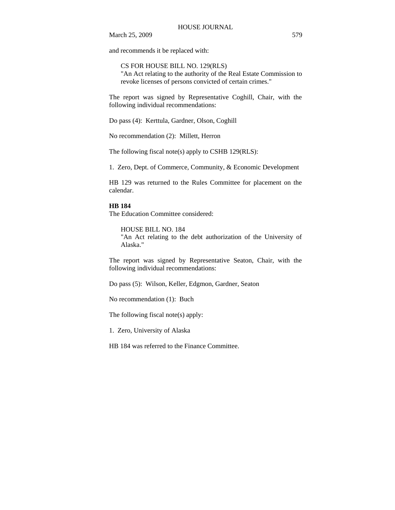and recommends it be replaced with:

CS FOR HOUSE BILL NO. 129(RLS) "An Act relating to the authority of the Real Estate Commission to revoke licenses of persons convicted of certain crimes."

The report was signed by Representative Coghill, Chair, with the following individual recommendations:

Do pass (4): Kerttula, Gardner, Olson, Coghill

No recommendation (2): Millett, Herron

The following fiscal note(s) apply to CSHB 129(RLS):

1. Zero, Dept. of Commerce, Community, & Economic Development

HB 129 was returned to the Rules Committee for placement on the calendar.

#### **HB 184**

The Education Committee considered:

HOUSE BILL NO. 184

"An Act relating to the debt authorization of the University of Alaska."

The report was signed by Representative Seaton, Chair, with the following individual recommendations:

Do pass (5): Wilson, Keller, Edgmon, Gardner, Seaton

No recommendation (1): Buch

The following fiscal note(s) apply:

1. Zero, University of Alaska

HB 184 was referred to the Finance Committee.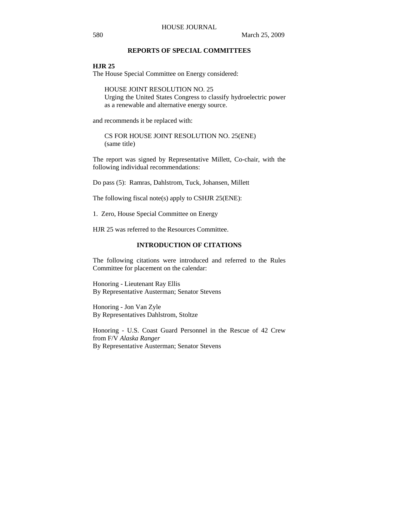# **REPORTS OF SPECIAL COMMITTEES**

#### **HJR 25**

The House Special Committee on Energy considered:

HOUSE JOINT RESOLUTION NO. 25 Urging the United States Congress to classify hydroelectric power as a renewable and alternative energy source.

and recommends it be replaced with:

CS FOR HOUSE JOINT RESOLUTION NO. 25(ENE) (same title)

The report was signed by Representative Millett, Co-chair, with the following individual recommendations:

Do pass (5): Ramras, Dahlstrom, Tuck, Johansen, Millett

The following fiscal note(s) apply to CSHJR 25(ENE):

1. Zero, House Special Committee on Energy

HJR 25 was referred to the Resources Committee.

## **INTRODUCTION OF CITATIONS**

The following citations were introduced and referred to the Rules Committee for placement on the calendar:

Honoring - Lieutenant Ray Ellis By Representative Austerman; Senator Stevens

Honoring - Jon Van Zyle By Representatives Dahlstrom, Stoltze

Honoring - U.S. Coast Guard Personnel in the Rescue of 42 Crew from F/V *Alaska Ranger* By Representative Austerman; Senator Stevens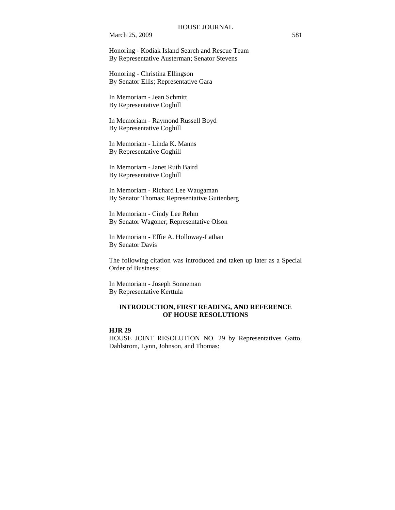Honoring - Kodiak Island Search and Rescue Team By Representative Austerman; Senator Stevens

Honoring - Christina Ellingson By Senator Ellis; Representative Gara

In Memoriam - Jean Schmitt By Representative Coghill

In Memoriam - Raymond Russell Boyd By Representative Coghill

In Memoriam - Linda K. Manns By Representative Coghill

In Memoriam - Janet Ruth Baird By Representative Coghill

In Memoriam - Richard Lee Waugaman By Senator Thomas; Representative Guttenberg

In Memoriam - Cindy Lee Rehm By Senator Wagoner; Representative Olson

In Memoriam - Effie A. Holloway-Lathan By Senator Davis

The following citation was introduced and taken up later as a Special Order of Business:

In Memoriam - Joseph Sonneman By Representative Kerttula

### **INTRODUCTION, FIRST READING, AND REFERENCE OF HOUSE RESOLUTIONS**

# **HJR 29**

HOUSE JOINT RESOLUTION NO. 29 by Representatives Gatto, Dahlstrom, Lynn, Johnson, and Thomas: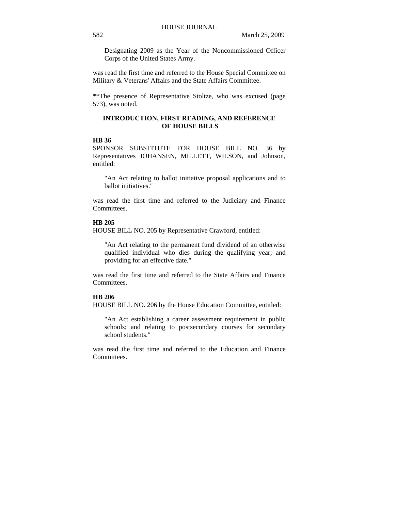Designating 2009 as the Year of the Noncommissioned Officer Corps of the United States Army.

was read the first time and referred to the House Special Committee on Military & Veterans' Affairs and the State Affairs Committee.

\*\*The presence of Representative Stoltze, who was excused (page 573), was noted.

### **INTRODUCTION, FIRST READING, AND REFERENCE OF HOUSE BILLS**

### **HB 36**

SPONSOR SUBSTITUTE FOR HOUSE BILL NO. 36 by Representatives JOHANSEN, MILLETT, WILSON, and Johnson, entitled:

"An Act relating to ballot initiative proposal applications and to ballot initiatives."

was read the first time and referred to the Judiciary and Finance Committees.

### **HB 205**

HOUSE BILL NO. 205 by Representative Crawford, entitled:

"An Act relating to the permanent fund dividend of an otherwise qualified individual who dies during the qualifying year; and providing for an effective date."

was read the first time and referred to the State Affairs and Finance Committees.

#### **HB 206**

HOUSE BILL NO. 206 by the House Education Committee, entitled:

"An Act establishing a career assessment requirement in public schools; and relating to postsecondary courses for secondary school students."

was read the first time and referred to the Education and Finance Committees.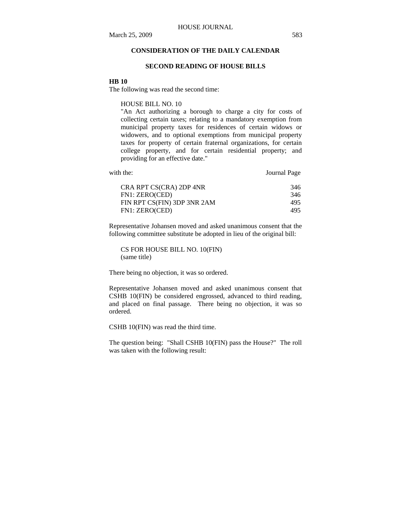# **CONSIDERATION OF THE DAILY CALENDAR**

#### **SECOND READING OF HOUSE BILLS**

#### **HB 10**

The following was read the second time:

HOUSE BILL NO. 10

"An Act authorizing a borough to charge a city for costs of collecting certain taxes; relating to a mandatory exemption from municipal property taxes for residences of certain widows or widowers, and to optional exemptions from municipal property taxes for property of certain fraternal organizations, for certain college property, and for certain residential property; and providing for an effective date."

| with the:               | Journal Page |
|-------------------------|--------------|
| CRA RPT CS(CRA) 2DP 4NR | 346          |

|                | $CO(CHU)$ $ED(CHU)$         | <u>JIV</u> |
|----------------|-----------------------------|------------|
| FN1: ZERO(CED) |                             | 346        |
|                | FIN RPT CS(FIN) 3DP 3NR 2AM | 495        |
| FN1: ZERO(CED) |                             | 495.       |
|                |                             |            |

Representative Johansen moved and asked unanimous consent that the following committee substitute be adopted in lieu of the original bill:

CS FOR HOUSE BILL NO. 10(FIN) (same title)

There being no objection, it was so ordered.

Representative Johansen moved and asked unanimous consent that CSHB 10(FIN) be considered engrossed, advanced to third reading, and placed on final passage. There being no objection, it was so ordered.

CSHB 10(FIN) was read the third time.

The question being: "Shall CSHB 10(FIN) pass the House?" The roll was taken with the following result: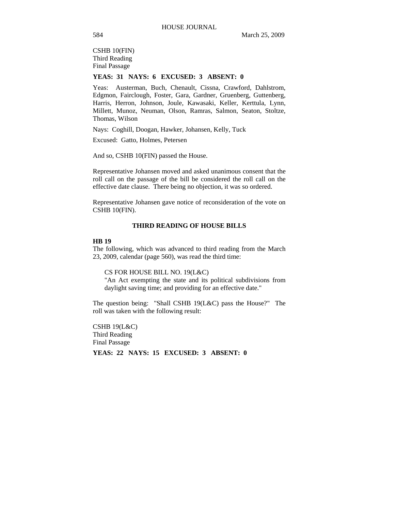CSHB 10(FIN) Third Reading Final Passage

# **YEAS: 31 NAYS: 6 EXCUSED: 3 ABSENT: 0**

Yeas: Austerman, Buch, Chenault, Cissna, Crawford, Dahlstrom, Edgmon, Fairclough, Foster, Gara, Gardner, Gruenberg, Guttenberg, Harris, Herron, Johnson, Joule, Kawasaki, Keller, Kerttula, Lynn, Millett, Munoz, Neuman, Olson, Ramras, Salmon, Seaton, Stoltze, Thomas, Wilson

Nays: Coghill, Doogan, Hawker, Johansen, Kelly, Tuck

Excused: Gatto, Holmes, Petersen

And so, CSHB 10(FIN) passed the House.

Representative Johansen moved and asked unanimous consent that the roll call on the passage of the bill be considered the roll call on the effective date clause. There being no objection, it was so ordered.

Representative Johansen gave notice of reconsideration of the vote on CSHB 10(FIN).

# **THIRD READING OF HOUSE BILLS**

#### **HB 19**

The following, which was advanced to third reading from the March 23, 2009, calendar (page 560), was read the third time:

CS FOR HOUSE BILL NO. 19(L&C)

"An Act exempting the state and its political subdivisions from daylight saving time; and providing for an effective date."

The question being: "Shall CSHB 19(L&C) pass the House?" The roll was taken with the following result:

CSHB 19(L&C) Third Reading Final Passage

**YEAS: 22 NAYS: 15 EXCUSED: 3 ABSENT: 0**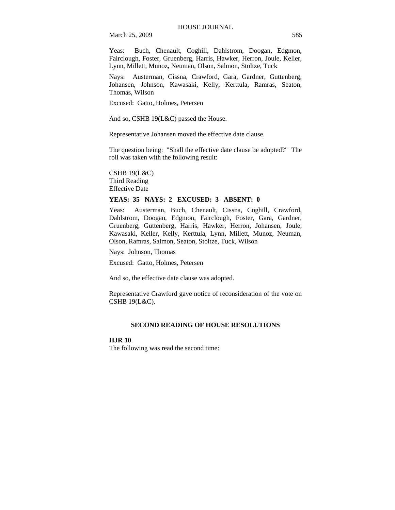Yeas: Buch, Chenault, Coghill, Dahlstrom, Doogan, Edgmon, Fairclough, Foster, Gruenberg, Harris, Hawker, Herron, Joule, Keller, Lynn, Millett, Munoz, Neuman, Olson, Salmon, Stoltze, Tuck

Nays: Austerman, Cissna, Crawford, Gara, Gardner, Guttenberg, Johansen, Johnson, Kawasaki, Kelly, Kerttula, Ramras, Seaton, Thomas, Wilson

Excused: Gatto, Holmes, Petersen

And so, CSHB 19(L&C) passed the House.

Representative Johansen moved the effective date clause.

The question being: "Shall the effective date clause be adopted?" The roll was taken with the following result:

CSHB 19(L&C) Third Reading Effective Date

# **YEAS: 35 NAYS: 2 EXCUSED: 3 ABSENT: 0**

Yeas: Austerman, Buch, Chenault, Cissna, Coghill, Crawford, Dahlstrom, Doogan, Edgmon, Fairclough, Foster, Gara, Gardner, Gruenberg, Guttenberg, Harris, Hawker, Herron, Johansen, Joule, Kawasaki, Keller, Kelly, Kerttula, Lynn, Millett, Munoz, Neuman, Olson, Ramras, Salmon, Seaton, Stoltze, Tuck, Wilson

Nays: Johnson, Thomas

Excused: Gatto, Holmes, Petersen

And so, the effective date clause was adopted.

Representative Crawford gave notice of reconsideration of the vote on CSHB 19(L&C).

#### **SECOND READING OF HOUSE RESOLUTIONS**

### **HJR 10**

The following was read the second time: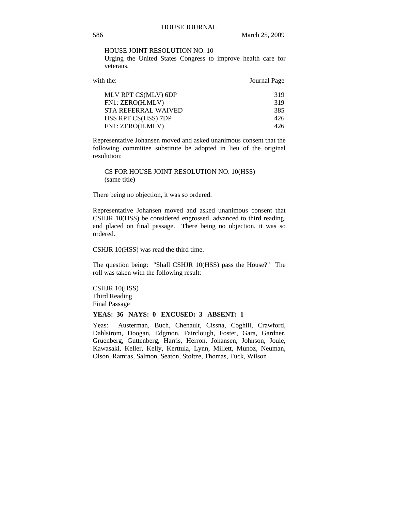HOUSE JOINT RESOLUTION NO. 10

Urging the United States Congress to improve health care for veterans.

| with the:                  | Journal Page |
|----------------------------|--------------|
| MLV RPT CS(MLV) 6DP        | 319          |
| FN1: ZERO(H.MLV)           | 319          |
| <b>STA REFERRAL WAIVED</b> | 385          |
| HSS RPT CS(HSS) 7DP        | 426          |
| FN1: ZERO(H.MLV)           | 426          |
|                            |              |

Representative Johansen moved and asked unanimous consent that the following committee substitute be adopted in lieu of the original resolution:

CS FOR HOUSE JOINT RESOLUTION NO. 10(HSS) (same title)

There being no objection, it was so ordered.

Representative Johansen moved and asked unanimous consent that CSHJR 10(HSS) be considered engrossed, advanced to third reading, and placed on final passage. There being no objection, it was so ordered.

CSHJR 10(HSS) was read the third time.

The question being: "Shall CSHJR 10(HSS) pass the House?" The roll was taken with the following result:

CSHJR 10(HSS) Third Reading Final Passage

### **YEAS: 36 NAYS: 0 EXCUSED: 3 ABSENT: 1**

Yeas: Austerman, Buch, Chenault, Cissna, Coghill, Crawford, Dahlstrom, Doogan, Edgmon, Fairclough, Foster, Gara, Gardner, Gruenberg, Guttenberg, Harris, Herron, Johansen, Johnson, Joule, Kawasaki, Keller, Kelly, Kerttula, Lynn, Millett, Munoz, Neuman, Olson, Ramras, Salmon, Seaton, Stoltze, Thomas, Tuck, Wilson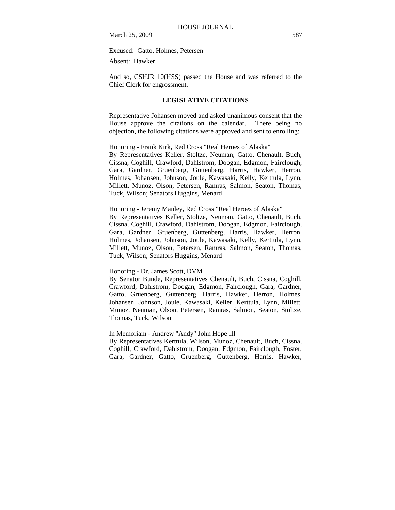Excused: Gatto, Holmes, Petersen

Absent: Hawker

And so, CSHJR 10(HSS) passed the House and was referred to the Chief Clerk for engrossment.

#### **LEGISLATIVE CITATIONS**

Representative Johansen moved and asked unanimous consent that the House approve the citations on the calendar. There being no objection, the following citations were approved and sent to enrolling:

Honoring - Frank Kirk, Red Cross "Real Heroes of Alaska" By Representatives Keller, Stoltze, Neuman, Gatto, Chenault, Buch, Cissna, Coghill, Crawford, Dahlstrom, Doogan, Edgmon, Fairclough, Gara, Gardner, Gruenberg, Guttenberg, Harris, Hawker, Herron, Holmes, Johansen, Johnson, Joule, Kawasaki, Kelly, Kerttula, Lynn, Millett, Munoz, Olson, Petersen, Ramras, Salmon, Seaton, Thomas, Tuck, Wilson; Senators Huggins, Menard

Honoring - Jeremy Manley, Red Cross "Real Heroes of Alaska" By Representatives Keller, Stoltze, Neuman, Gatto, Chenault, Buch, Cissna, Coghill, Crawford, Dahlstrom, Doogan, Edgmon, Fairclough, Gara, Gardner, Gruenberg, Guttenberg, Harris, Hawker, Herron, Holmes, Johansen, Johnson, Joule, Kawasaki, Kelly, Kerttula, Lynn, Millett, Munoz, Olson, Petersen, Ramras, Salmon, Seaton, Thomas, Tuck, Wilson; Senators Huggins, Menard

#### Honoring - Dr. James Scott, DVM

By Senator Bunde, Representatives Chenault, Buch, Cissna, Coghill, Crawford, Dahlstrom, Doogan, Edgmon, Fairclough, Gara, Gardner, Gatto, Gruenberg, Guttenberg, Harris, Hawker, Herron, Holmes, Johansen, Johnson, Joule, Kawasaki, Keller, Kerttula, Lynn, Millett, Munoz, Neuman, Olson, Petersen, Ramras, Salmon, Seaton, Stoltze, Thomas, Tuck, Wilson

In Memoriam - Andrew "Andy" John Hope III

By Representatives Kerttula, Wilson, Munoz, Chenault, Buch, Cissna, Coghill, Crawford, Dahlstrom, Doogan, Edgmon, Fairclough, Foster, Gara, Gardner, Gatto, Gruenberg, Guttenberg, Harris, Hawker,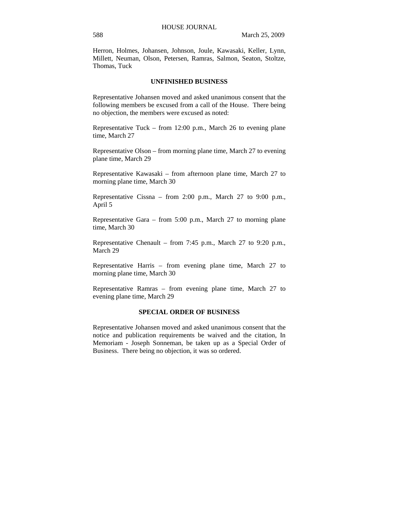Herron, Holmes, Johansen, Johnson, Joule, Kawasaki, Keller, Lynn, Millett, Neuman, Olson, Petersen, Ramras, Salmon, Seaton, Stoltze, Thomas, Tuck

### **UNFINISHED BUSINESS**

Representative Johansen moved and asked unanimous consent that the following members be excused from a call of the House. There being no objection, the members were excused as noted:

Representative Tuck – from 12:00 p.m., March 26 to evening plane time, March 27

Representative Olson – from morning plane time, March 27 to evening plane time, March 29

Representative Kawasaki – from afternoon plane time, March 27 to morning plane time, March 30

Representative Cissna – from 2:00 p.m., March 27 to 9:00 p.m., April 5

Representative Gara – from 5:00 p.m., March 27 to morning plane time, March 30

Representative Chenault – from 7:45 p.m., March 27 to 9:20 p.m., March 29

Representative Harris – from evening plane time, March 27 to morning plane time, March 30

Representative Ramras – from evening plane time, March 27 to evening plane time, March 29

### **SPECIAL ORDER OF BUSINESS**

Representative Johansen moved and asked unanimous consent that the notice and publication requirements be waived and the citation, In Memoriam - Joseph Sonneman, be taken up as a Special Order of Business. There being no objection, it was so ordered.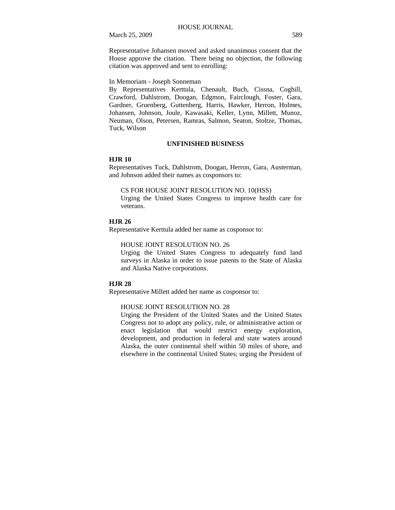Representative Johansen moved and asked unanimous consent that the House approve the citation. There being no objection, the following citation was approved and sent to enrolling:

In Memoriam - Joseph Sonneman

By Representatives Kerttula, Chenault, Buch, Cissna, Coghill, Crawford, Dahlstrom, Doogan, Edgmon, Fairclough, Foster, Gara, Gardner, Gruenberg, Guttenberg, Harris, Hawker, Herron, Holmes, Johansen, Johnson, Joule, Kawasaki, Keller, Lynn, Millett, Munoz, Neuman, Olson, Petersen, Ramras, Salmon, Seaton, Stoltze, Thomas, Tuck, Wilson

#### **UNFINISHED BUSINESS**

#### **HJR 10**

Representatives Tuck, Dahlstrom, Doogan, Herron, Gara, Austerman, and Johnson added their names as cosponsors to:

#### CS FOR HOUSE JOINT RESOLUTION NO. 10(HSS)

Urging the United States Congress to improve health care for veterans.

#### **HJR 26**

Representative Kerttula added her name as cosponsor to:

#### HOUSE JOINT RESOLUTION NO. 26

Urging the United States Congress to adequately fund land surveys in Alaska in order to issue patents to the State of Alaska and Alaska Native corporations.

#### **HJR 28**

Representative Millett added her name as cosponsor to:

#### HOUSE JOINT RESOLUTION NO. 28

Urging the President of the United States and the United States Congress not to adopt any policy, rule, or administrative action or enact legislation that would restrict energy exploration, development, and production in federal and state waters around Alaska, the outer continental shelf within 50 miles of shore, and elsewhere in the continental United States; urging the President of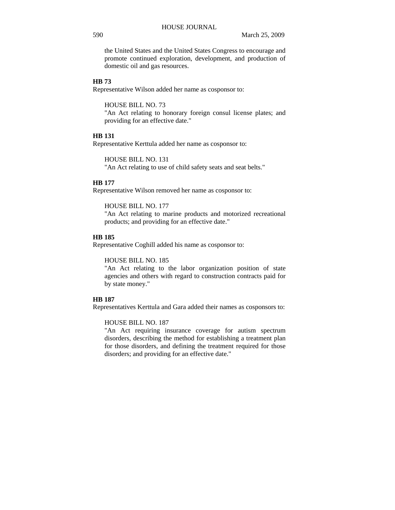the United States and the United States Congress to encourage and promote continued exploration, development, and production of domestic oil and gas resources.

#### **HB 73**

Representative Wilson added her name as cosponsor to:

HOUSE BILL NO. 73

"An Act relating to honorary foreign consul license plates; and providing for an effective date."

#### **HB 131**

Representative Kerttula added her name as cosponsor to:

HOUSE BILL NO. 131 "An Act relating to use of child safety seats and seat belts."

# **HB 177**

Representative Wilson removed her name as cosponsor to:

HOUSE BILL NO. 177 "An Act relating to marine products and motorized recreational products; and providing for an effective date."

# **HB 185**

Representative Coghill added his name as cosponsor to:

HOUSE BILL NO. 185

"An Act relating to the labor organization position of state agencies and others with regard to construction contracts paid for by state money."

### **HB 187**

Representatives Kerttula and Gara added their names as cosponsors to:

### HOUSE BILL NO. 187

"An Act requiring insurance coverage for autism spectrum disorders, describing the method for establishing a treatment plan for those disorders, and defining the treatment required for those disorders; and providing for an effective date."